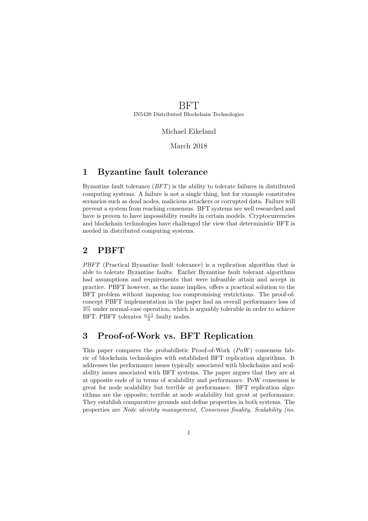BFT IN5420 Distributed Blockchain Technologies

## Michael Eikeland

March 2018

## 1 Byzantine fault tolerance

Byzantine fault tolerance  $(BFT)$  is the ability to tolerate failures in distributed computing systems. A failure is not a single thing, but for example constitutes scenarios such as dead nodes, malicious attackers or corrupted data. Failure will prevent a system from reaching consensus. BFT systems are well researched and have is proven to have impossibility results in certain models. Cryptocurrencies and blockchain technologies have challenged the view that deterministic BFT is needed in distributed computing systems.

## 2 PBFT

PBFT (Practical Byzantine fault tolerance) is a replication algorithm that is able to tolerate Byzantine faults. Earlier Byzantine fault tolerant algorithms had assumptions and requirements that were infeasible attain and accept in practice. PBFT however, as the name implies, offers a practical solution to the BFT problem without imposing too compromising restrictions. The proof-ofconcept PBFT implementation in the paper had an overall performance loss of 3% under normal-case operation, which is arguably tolerable in order to achieve BFT. PBFT tolerates  $\frac{n+1}{3}$  faulty nodes.

## 3 Proof-of-Work vs. BFT Replication

This paper compares the probabilistic Proof-of-Work  $(PoW)$  consensus fabric of blockchain technologies with established BFT replication algorithms. It addresses the performance issues typically associated with blockchains and scalability issues associated with BFT systems. The paper argues that they are at at opposite ends of in terms of scalability and performance. PoW consensus is great for node scalability but terrible at performance. BFT replication algorithms are the opposite; terrible at node scalability but great at performance. They establish comparative grounds and define properties in both systems. The properties are Node identity management, Consensus finality, Scalability (no.